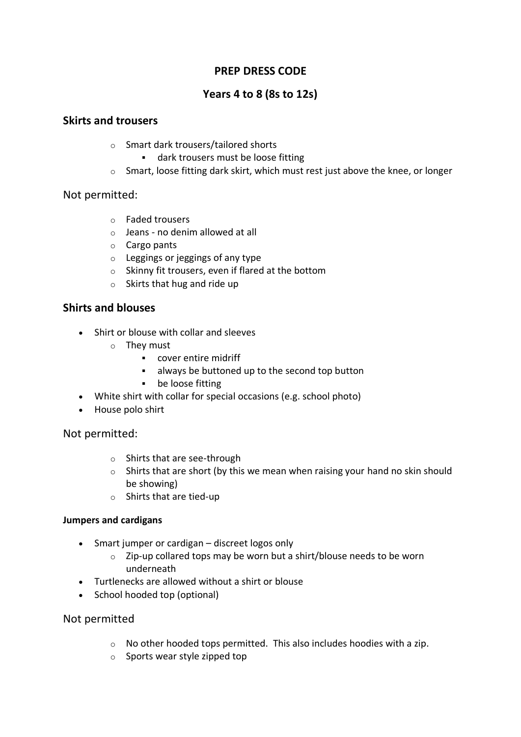# **PREP DRESS CODE**

# **Years 4 to 8 (8s to 12s)**

### **Skirts and trousers**

- o Smart dark trousers/tailored shorts
	- **■** dark trousers must be loose fitting
- o Smart, loose fitting dark skirt, which must rest just above the knee, or longer

Not permitted:

- o Faded trousers
- $\circ$  Jeans no denim allowed at all
- o Cargo pants
- $\circ$  Leggings or jeggings of any type
- o Skinny fit trousers, even if flared at the bottom
- o Skirts that hug and ride up

## **Shirts and blouses**

- Shirt or blouse with collar and sleeves
	- o They must
		- cover entire midriff
		- always be buttoned up to the second top button
		- be loose fitting
- White shirt with collar for special occasions (e.g. school photo)
- House polo shirt

Not permitted:

- o Shirts that are see-through
- $\circ$  Shirts that are short (by this we mean when raising your hand no skin should be showing)
- o Shirts that are tied-up

#### **Jumpers and cardigans**

- Smart jumper or cardigan discreet logos only
	- o Zip-up collared tops may be worn but a shirt/blouse needs to be worn underneath
- Turtlenecks are allowed without a shirt or blouse
- School hooded top (optional)

Not permitted

- o No other hooded tops permitted. This also includes hoodies with a zip.
- o Sports wear style zipped top